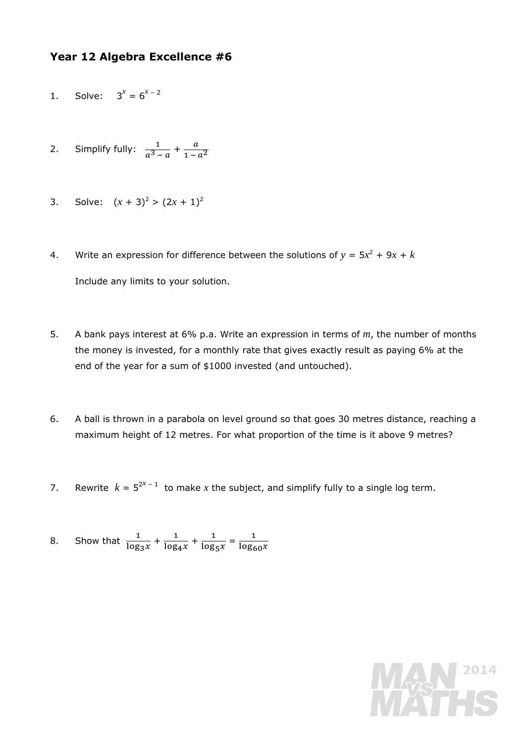## **Year 12 Algebra Excellence #6**

- 1. Solve:  $3^x = 6^{x-2}$
- 2. Simplify fully:  $\frac{1}{a^3-a} + \frac{a}{1-a^2}$
- 3. Solve:  $(x + 3)^2$  >  $(2x + 1)^2$
- 4. Write an expression for difference between the solutions of  $y = 5x^2 + 9x + k$ Include any limits to your solution.
- 5. A bank pays interest at 6% p.a. Write an expression in terms of *m*, the number of months the money is invested, for a monthly rate that gives exactly result as paying 6% at the end of the year for a sum of \$1000 invested (and untouched).
- 6. A ball is thrown in a parabola on level ground so that goes 30 metres distance, reaching a maximum height of 12 metres. For what proportion of the time is it above 9 metres?
- 7. Rewrite  $k = 5^{2^x 1}$  to make x the subject, and simplify fully to a single log term.
- 8. Show that  $\frac{1}{\log n}$  $\frac{1}{\log_3 x} + \frac{1}{\log_4 y}$  $\frac{1}{\log_4 x} + \frac{1}{\log_5 x}$  $\frac{1}{\log_5 x} = \frac{1}{\log_{60} x}$

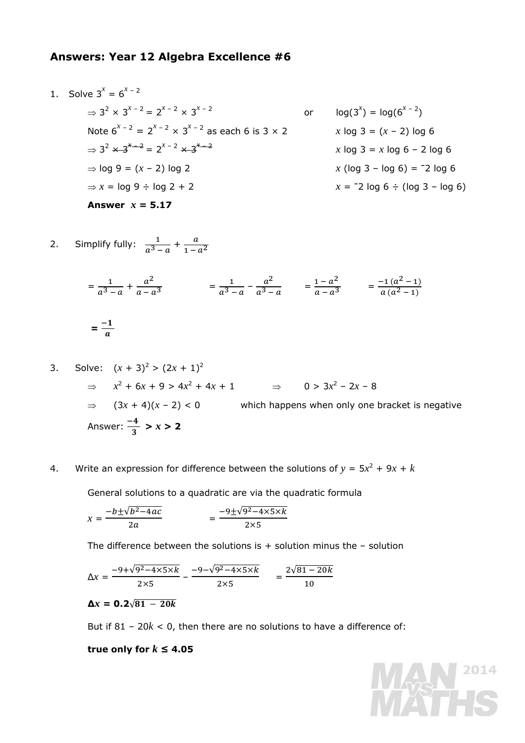## **Answers: Year 12 Algebra Excellence #6**

1. Solve 
$$
3^x = 6^{x-2}
$$
  
\n $\Rightarrow 3^2 \times 3^{x-2} = 2^{x-2} \times 3^{x-2}$  or  $log(3^x) = log(6^{x-2})$   
\nNote  $6^{x-2} = 2^{x-2} \times 3^{x-2}$  as each 6 is 3 x 2  
\n $\Rightarrow 3^2 \times 3^{x-2} = 2^{x-2} \times 3^{x-2}$   
\n $\Rightarrow log 9 = (x - 2) log 2$   
\n $\Rightarrow log 9 = (x - 2) log 2$   
\n $\Rightarrow x = log 9 \div log 2 + 2$   
\nAnswer  $x = 5.17$   
\n2. Use 6.  
\n2. Use 7.  
\n2. Use 10.  
\n3. Use 10.  
\n3. Use 10.  
\n3. Use 2.  
\n4. Use 3.  
\n4. Use 3.  
\n5. Use 4.  
\n5. Use 4.  
\n6. Solve 3.  
\n6. Solve 4.  
\n6. Solve 5.  
\n(a) 3.  
\n(b) 4.  
\n(a) 3.  
\n(b) 4.  
\n(a) 3.  
\n(b) 4.  
\n(a) 3.  
\n(b) 4.  
\n(b) 4.  
\n(c) 4.  
\n(d) 3.  
\n(e) 4.  
\n(f) 4.  
\n2. Use 6.  
\n2. Use 6.  
\n3. Use 10.  
\n4. Use 10.  
\n5. Use 10.  
\n6. Solve 2.  
\n6. Solve 3.  
\n(a) 6.  
\n(b) 10.  
\n(a) 10.  
\n(b) 2.  
\n(a) 6.  
\n(b) 3 - log 6  
\n(c) 10.  
\n4. Use 10.  
\n(a) 10.  
\n(b) 2.  
\n(c) 4.  
\n(d) 3 - log 6  
\n(e) 4.  
\n(f) 4.  
\n2. Use 10.  
\n3. Use 2.  
\n4. Use 3.  
\n(b) 4.  
\n(c) 4.  
\n(d) 3.  
\n(e) 4.  
\n(f) 4.  
\n2. Use 4.  
\n3. Use 4.  
\n4. Use 6.  
\n4. Use 10.<

2. Simplify fully:  $\frac{1}{a^3-a} + \frac{a}{1-a^2}$ 

$$
= \frac{1}{a^3 - a} + \frac{a^2}{a - a^3} = \frac{1}{a^3 - a} - \frac{a^2}{a^3 - a} = \frac{1 - a^2}{a - a^3} = \frac{-1(a^2 - 1)}{a(a^2 - 1)}
$$

$$
= \frac{-1}{a}
$$

3. Solve: 
$$
(x + 3)^2 > (2x + 1)^2
$$

\n⇒  $x^2 + 6x + 9 > 4x^2 + 4x + 1$ 

\n⇒  $(3x + 4)(x - 2) < 0$ 

\nwhich happens when only one bracket is negative

\nAnswer:  $\frac{-4}{3} > x > 2$ 

4. Write an expression for difference between the solutions of  $y = 5x^2 + 9x + k$ 

General solutions to a quadratic are via the quadratic formula

$$
x = \frac{-b \pm \sqrt{b^2 - 4ac}}{2a} = \frac{-9 \pm \sqrt{9^2 - 4 \times 5 \times k}}{2 \times 5}
$$

The difference between the solutions is  $+$  solution minus the  $-$  solution

$$
\Delta x = \frac{-9 + \sqrt{9^2 - 4 \times 5 \times k}}{2 \times 5} - \frac{-9 - \sqrt{9^2 - 4 \times 5 \times k}}{2 \times 5} = \frac{2\sqrt{81 - 20k}}{10}
$$

$$
\Delta x = 0.2\sqrt{81-20k}
$$

But if  $81 - 20k < 0$ , then there are no solutions to have a difference of:

**true only for**  $k \leq 4.05$